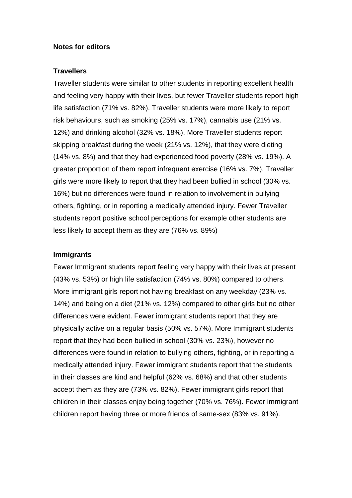### **Notes for editors**

### **Travellers**

Traveller students were similar to other students in reporting excellent health and feeling very happy with their lives, but fewer Traveller students report high life satisfaction (71% vs. 82%). Traveller students were more likely to report risk behaviours, such as smoking (25% vs. 17%), cannabis use (21% vs. 12%) and drinking alcohol (32% vs. 18%). More Traveller students report skipping breakfast during the week (21% vs. 12%), that they were dieting (14% vs. 8%) and that they had experienced food poverty (28% vs. 19%). A greater proportion of them report infrequent exercise (16% vs. 7%). Traveller girls were more likely to report that they had been bullied in school (30% vs. 16%) but no differences were found in relation to involvement in bullying others, fighting, or in reporting a medically attended injury. Fewer Traveller students report positive school perceptions for example other students are less likely to accept them as they are (76% vs. 89%)

## **Immigrants**

Fewer Immigrant students report feeling very happy with their lives at present (43% vs. 53%) or high life satisfaction (74% vs. 80%) compared to others. More immigrant girls report not having breakfast on any weekday (23% vs. 14%) and being on a diet (21% vs. 12%) compared to other girls but no other differences were evident. Fewer immigrant students report that they are physically active on a regular basis (50% vs. 57%). More Immigrant students report that they had been bullied in school (30% vs. 23%), however no differences were found in relation to bullying others, fighting, or in reporting a medically attended injury. Fewer immigrant students report that the students in their classes are kind and helpful (62% vs. 68%) and that other students accept them as they are (73% vs. 82%). Fewer immigrant girls report that children in their classes enjoy being together (70% vs. 76%). Fewer immigrant children report having three or more friends of same-sex (83% vs. 91%).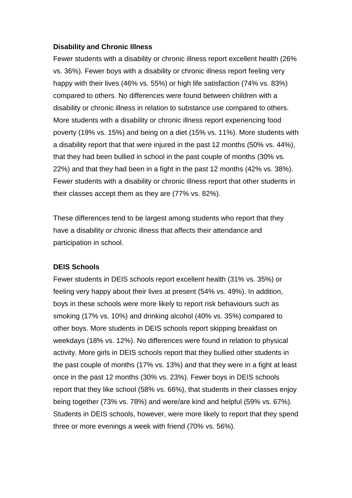## **Disability and Chronic Illness**

Fewer students with a disability or chronic illness report excellent health (26% vs. 36%). Fewer boys with a disability or chronic illness report feeling very happy with their lives (46% vs. 55%) or high life satisfaction (74% vs. 83%) compared to others. No differences were found between children with a disability or chronic illness in relation to substance use compared to others. More students with a disability or chronic illness report experiencing food poverty (19% vs. 15%) and being on a diet (15% vs. 11%). More students with a disability report that that were injured in the past 12 months (50% vs. 44%), that they had been bullied in school in the past couple of months (30% vs. 22%) and that they had been in a fight in the past 12 months (42% vs. 38%). Fewer students with a disability or chronic illness report that other students in their classes accept them as they are (77% vs. 82%).

These differences tend to be largest among students who report that they have a disability or chronic illness that affects their attendance and participation in school.

# **DEIS Schools**

Fewer students in DEIS schools report excellent health (31% vs. 35%) or feeling very happy about their lives at present (54% vs. 49%). In addition, boys in these schools were more likely to report risk behaviours such as smoking (17% vs. 10%) and drinking alcohol (40% vs. 35%) compared to other boys. More students in DEIS schools report skipping breakfast on weekdays (18% vs. 12%). No differences were found in relation to physical activity. More girls in DEIS schools report that they bullied other students in the past couple of months (17% vs. 13%) and that they were in a fight at least once in the past 12 months (30% vs. 23%). Fewer boys in DEIS schools report that they like school (58% vs. 66%), that students in their classes enjoy being together (73% vs. 78%) and were/are kind and helpful (59% vs. 67%). Students in DEIS schools, however, were more likely to report that they spend three or more evenings a week with friend (70% vs. 56%).